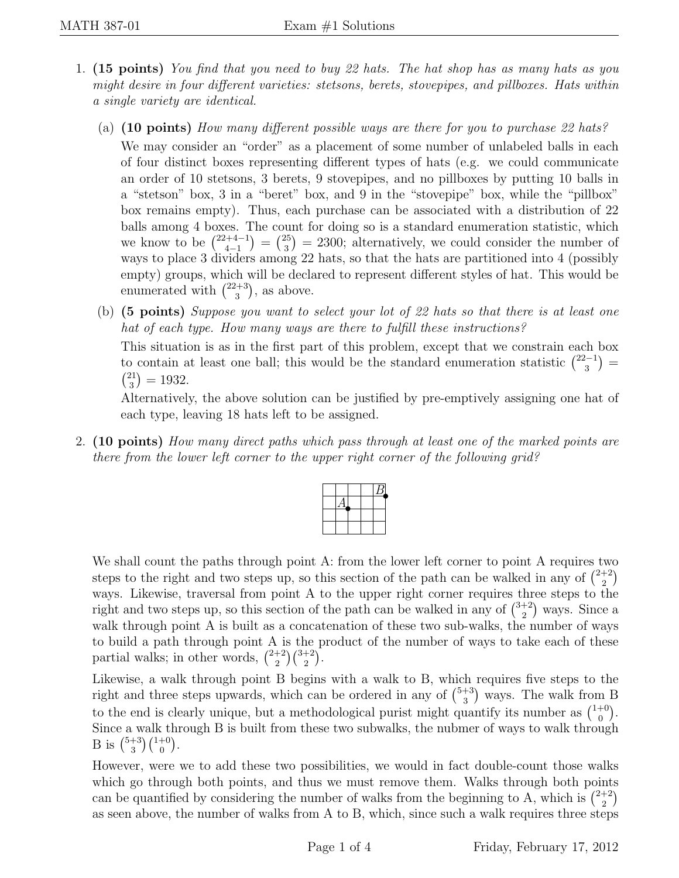- 1. (15 points) You find that you need to buy 22 hats. The hat shop has as many hats as you might desire in four different varieties: stetsons, berets, stovepipes, and pillboxes. Hats within a single variety are identical.
	- (a) (10 points) How many different possible ways are there for you to purchase 22 hats? We may consider an "order" as a placement of some number of unlabeled balls in each of four distinct boxes representing different types of hats (e.g. we could communicate an order of 10 stetsons, 3 berets, 9 stovepipes, and no pillboxes by putting 10 balls in a "stetson" box, 3 in a "beret" box, and 9 in the "stovepipe" box, while the "pillbox" box remains empty). Thus, each purchase can be associated with a distribution of 22 balls among 4 boxes. The count for doing so is a standard enumeration statistic, which we know to be  $\binom{22+4-1}{4-1}$  $\binom{2+4-1}{4-1} = \binom{25}{3}$  $(3<sup>25</sup>) = 2300$ ; alternatively, we could consider the number of ways to place 3 dividers among 22 hats, so that the hats are partitioned into 4 (possibly empty) groups, which will be declared to represent different styles of hat. This would be enumerated with  $\binom{22+3}{3}$  $\binom{3+3}{3}$ , as above.
	- (b) (5 points) Suppose you want to select your lot of 22 hats so that there is at least one hat of each type. How many ways are there to fulfill these instructions? This situation is as in the first part of this problem, except that we constrain each box

to contain at least one ball; this would be the standard enumeration statistic  $\binom{22-1}{3}$  $\binom{2-1}{3} =$  $\binom{21}{2}$  $\binom{21}{3} = 1932.$ 

Alternatively, the above solution can be justified by pre-emptively assigning one hat of each type, leaving 18 hats left to be assigned.

2. (10 points) How many direct paths which pass through at least one of the marked points are there from the lower left corner to the upper right corner of the following grid?

We shall count the paths through point A: from the lower left corner to point A requires two steps to the right and two steps up, so this section of the path can be walked in any of  $\binom{2+2}{2}$  $_{2}^{+2}$ ways. Likewise, traversal from point A to the upper right corner requires three steps to the right and two steps up, so this section of the path can be walked in any of  $\binom{3+2}{2}$  $\binom{+2}{2}$  ways. Since a walk through point A is built as a concatenation of these two sub-walks, the number of ways to build a path through point A is the product of the number of ways to take each of these partial walks; in other words,  $\binom{2+2}{2}$  $\binom{+2}{2}$  $\binom{3+2}{2}$ .

Likewise, a walk through point B begins with a walk to B, which requires five steps to the right and three steps upwards, which can be ordered in any of  $\binom{5+3}{3}$  $\binom{+3}{3}$  ways. The walk from B to the end is clearly unique, but a methodological purist might quantify its number as  $\binom{1+0}{0}$  $_{0}^{+0}$ . Since a walk through B is built from these two subwalks, the nubmer of ways to walk through B is  $\binom{5+3}{3}$  $\binom{+3}{3}\binom{1+0}{0}.$ 

However, were we to add these two possibilities, we would in fact double-count those walks which go through both points, and thus we must remove them. Walks through both points can be quantified by considering the number of walks from the beginning to A, which is  $\binom{2+2}{2}$  $_{2}^{+2}$ as seen above, the number of walks from A to B, which, since such a walk requires three steps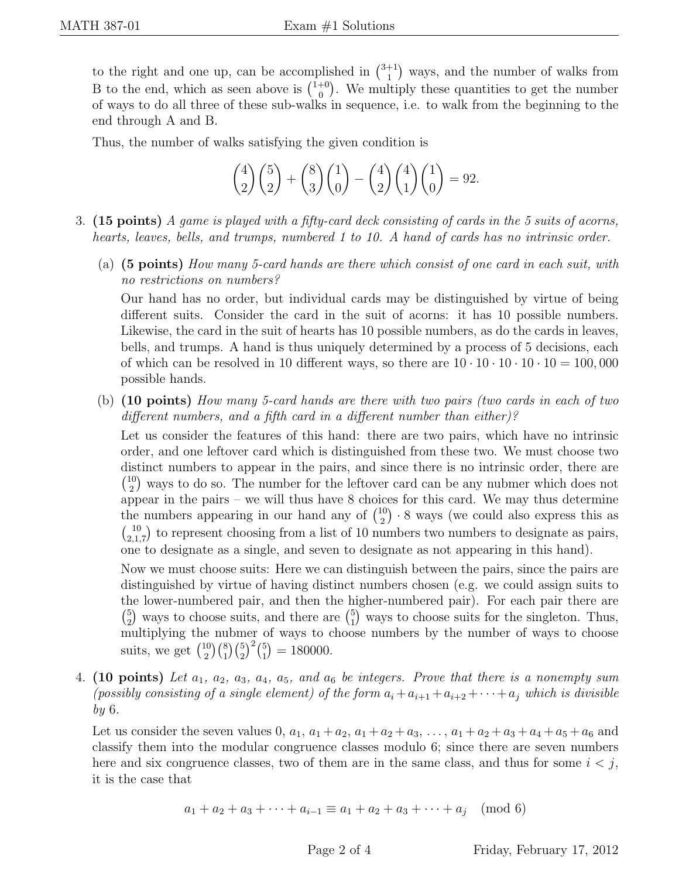to the right and one up, can be accomplished in  $\binom{3+1}{1}$  $_{1}^{+1}$ ) ways, and the number of walks from B to the end, which as seen above is  $\binom{1+0}{0}$  $\binom{+0}{0}$ . We multiply these quantities to get the number of ways to do all three of these sub-walks in sequence, i.e. to walk from the beginning to the end through A and B.

Thus, the number of walks satisfying the given condition is

$$
\binom{4}{2}\binom{5}{2} + \binom{8}{3}\binom{1}{0} - \binom{4}{2}\binom{4}{1}\binom{1}{0} = 92.
$$

- 3. (15 points) A game is played with a fifty-card deck consisting of cards in the 5 suits of acorns, hearts, leaves, bells, and trumps, numbered 1 to 10. A hand of cards has no intrinsic order.
	- (a) (5 points) How many 5-card hands are there which consist of one card in each suit, with no restrictions on numbers?

Our hand has no order, but individual cards may be distinguished by virtue of being different suits. Consider the card in the suit of acorns: it has 10 possible numbers. Likewise, the card in the suit of hearts has 10 possible numbers, as do the cards in leaves, bells, and trumps. A hand is thus uniquely determined by a process of 5 decisions, each of which can be resolved in 10 different ways, so there are  $10 \cdot 10 \cdot 10 \cdot 10 = 100,000$ possible hands.

(b) (10 points) How many 5-card hands are there with two pairs (two cards in each of two different numbers, and a fifth card in a different number than either)?

Let us consider the features of this hand: there are two pairs, which have no intrinsic order, and one leftover card which is distinguished from these two. We must choose two distinct numbers to appear in the pairs, and since there is no intrinsic order, there are  $\binom{10}{2}$  $\binom{10}{2}$  ways to do so. The number for the leftover card can be any nubmer which does not appear in the pairs – we will thus have 8 choices for this card. We may thus determine the numbers appearing in our hand any of  $\binom{10}{2}$  $\binom{10}{2} \cdot 8$  ways (we could also express this as  $\binom{10}{2}$  $\binom{10}{2,1,7}$  to represent choosing from a list of 10 numbers two numbers to designate as pairs, one to designate as a single, and seven to designate as not appearing in this hand).

Now we must choose suits: Here we can distinguish between the pairs, since the pairs are distinguished by virtue of having distinct numbers chosen (e.g. we could assign suits to the lower-numbered pair, and then the higher-numbered pair). For each pair there are  $\binom{5}{2}$  $_2^5$ ) ways to choose suits, and there are  $\binom{5}{1}$  $_{1}^{5}$ ) ways to choose suits for the singleton. Thus, multiplying the nubmer of ways to choose numbers by the number of ways to choose suits, we get  $\binom{10}{2}$  $\binom{10}{2}\binom{8}{1}\binom{5}{2}^2\binom{5}{1}$  $_{1}^{5}$ ) = 180000.

4. (10 points) Let  $a_1, a_2, a_3, a_4, a_5, a_6$  be integers. Prove that there is a nonempty sum (possibly consisting of a single element) of the form  $a_i + a_{i+1} + a_{i+2} + \cdots + a_j$  which is divisible by 6.

Let us consider the seven values 0,  $a_1$ ,  $a_1 + a_2$ ,  $a_1 + a_2 + a_3$ , ...,  $a_1 + a_2 + a_3 + a_4 + a_5 + a_6$  and classify them into the modular congruence classes modulo 6; since there are seven numbers here and six congruence classes, two of them are in the same class, and thus for some  $i < j$ , it is the case that

$$
a_1 + a_2 + a_3 + \dots + a_{i-1} \equiv a_1 + a_2 + a_3 + \dots + a_j \pmod{6}
$$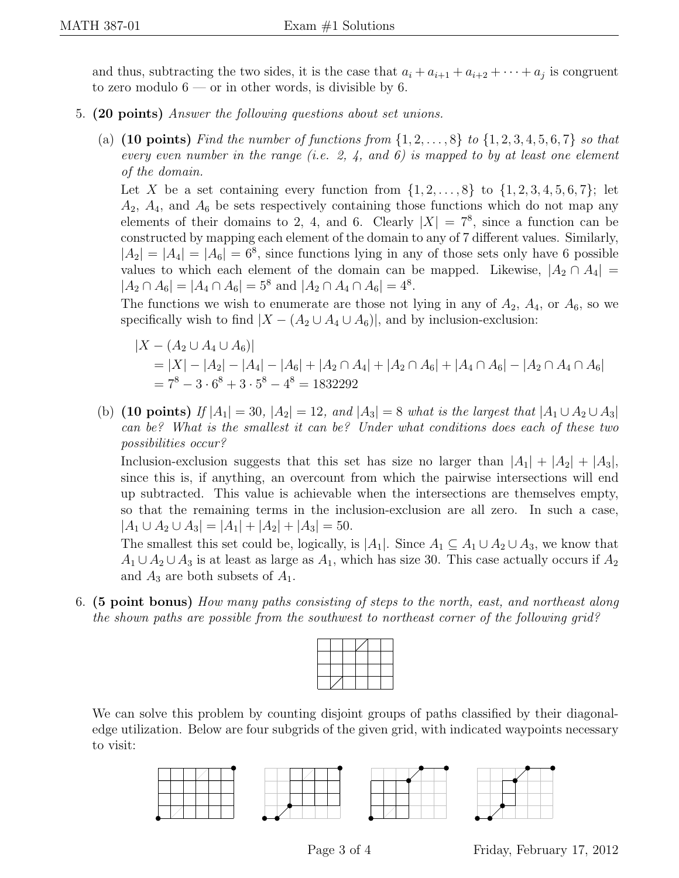and thus, subtracting the two sides, it is the case that  $a_i + a_{i+1} + a_{i+2} + \cdots + a_j$  is congruent to zero modulo  $6$  — or in other words, is divisible by 6.

- 5. (20 points) Answer the following questions about set unions.
	- (a) (10 points) Find the number of functions from  $\{1, 2, \ldots, 8\}$  to  $\{1, 2, 3, 4, 5, 6, 7\}$  so that every even number in the range (i.e. 2, 4, and 6) is mapped to by at least one element of the domain.

Let X be a set containing every function from  $\{1, 2, ..., 8\}$  to  $\{1, 2, 3, 4, 5, 6, 7\}$ ; let  $A_2$ ,  $A_4$ , and  $A_6$  be sets respectively containing those functions which do not map any elements of their domains to 2, 4, and 6. Clearly  $|X| = 7^8$ , since a function can be constructed by mapping each element of the domain to any of 7 different values. Similarly,  $|A_2| = |A_4| = |A_6| = 6^8$ , since functions lying in any of those sets only have 6 possible values to which each element of the domain can be mapped. Likewise,  $|A_2 \cap A_4|$  =  $|A_2 \cap A_6| = |A_4 \cap A_6| = 5^8$  and  $|A_2 \cap A_4 \cap A_6| = 4^8$ .

The functions we wish to enumerate are those not lying in any of  $A_2$ ,  $A_4$ , or  $A_6$ , so we specifically wish to find  $|X - (A_2 \cup A_4 \cup A_6)|$ , and by inclusion-exclusion:

$$
|X - (A_2 \cup A_4 \cup A_6)|
$$
  
= |X| - |A\_2| - |A\_4| - |A\_6| + |A\_2 \cap A\_4| + |A\_2 \cap A\_6| + |A\_4 \cap A\_6| - |A\_2 \cap A\_4 \cap A\_6|  
= 7<sup>8</sup> - 3 \cdot 6<sup>8</sup> + 3 \cdot 5<sup>8</sup> - 4<sup>8</sup> = 1832292

(b) (10 points) If  $|A_1| = 30$ ,  $|A_2| = 12$ , and  $|A_3| = 8$  what is the largest that  $|A_1 \cup A_2 \cup A_3|$ can be? What is the smallest it can be? Under what conditions does each of these two possibilities occur?

Inclusion-exclusion suggests that this set has size no larger than  $|A_1| + |A_2| + |A_3|$ , since this is, if anything, an overcount from which the pairwise intersections will end up subtracted. This value is achievable when the intersections are themselves empty, so that the remaining terms in the inclusion-exclusion are all zero. In such a case,  $|A_1 \cup A_2 \cup A_3| = |A_1| + |A_2| + |A_3| = 50.$ 

The smallest this set could be, logically, is  $|A_1|$ . Since  $A_1 \subseteq A_1 \cup A_2 \cup A_3$ , we know that  $A_1 \cup A_2 \cup A_3$  is at least as large as  $A_1$ , which has size 30. This case actually occurs if  $A_2$ and  $A_3$  are both subsets of  $A_1$ .

6. (5 point bonus) How many paths consisting of steps to the north, east, and northeast along the shown paths are possible from the southwest to northeast corner of the following grid?



We can solve this problem by counting disjoint groups of paths classified by their diagonaledge utilization. Below are four subgrids of the given grid, with indicated waypoints necessary to visit: